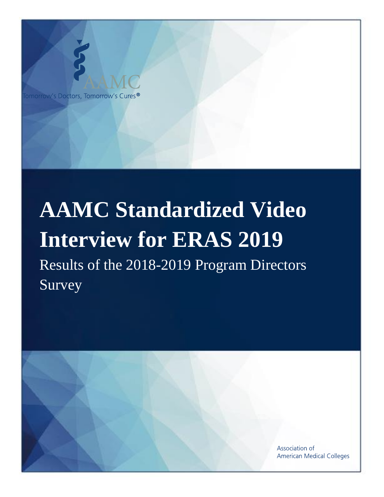

# **AAMC Standardized Video Interview for ERAS 2019** Results of the 2018-2019 Program Directors Survey

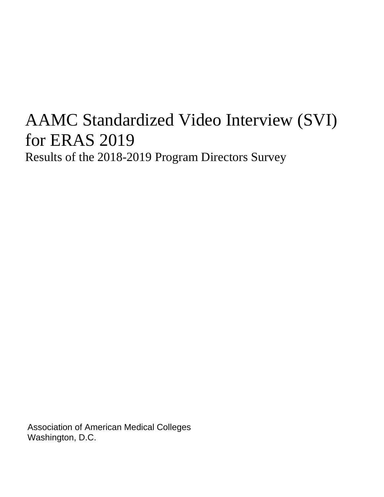# AAMC Standardized Video Interview (SVI) for ERAS 2019 Results of the 2018-2019 Program Directors Survey

Association of American Medical Colleges Washington, D.C.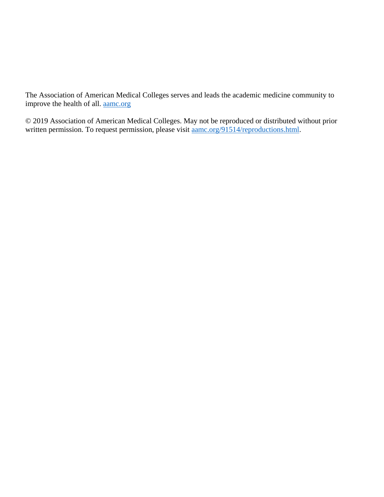The Association of American Medical Colleges serves and leads the academic medicine community to improve the health of all. [aamc.org](http://aamc.org/)

© 2019 Association of American Medical Colleges. May not be reproduced or distributed without prior written permission. To request permission, please visit  $\frac{a_{\text{anc.org}}}{91514/\text{reproductions.html}}$ .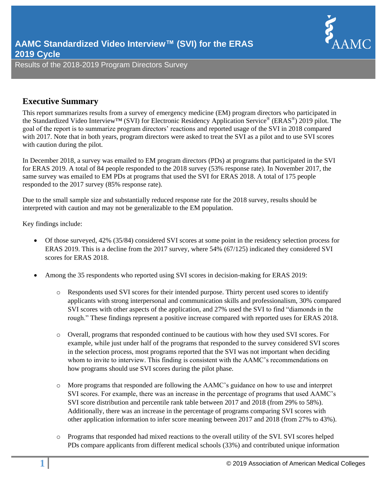

# **Executive Summary**

This report summarizes results from a survey of emergency medicine (EM) program directors who participated in the Standardized Video Interview™ (SVI) for Electronic Residency Application Service® (ERAS®) 2019 pilot. The goal of the report is to summarize program directors' reactions and reported usage of the SVI in 2018 compared with 2017. Note that in both years, program directors were asked to treat the SVI as a pilot and to use SVI scores with caution during the pilot.

In December 2018, a survey was emailed to EM program directors (PDs) at programs that participated in the SVI for ERAS 2019. A total of 84 people responded to the 2018 survey (53% response rate). In November 2017, the same survey was emailed to EM PDs at programs that used the SVI for ERAS 2018. A total of 175 people responded to the 2017 survey (85% response rate).

Due to the small sample size and substantially reduced response rate for the 2018 survey, results should be interpreted with caution and may not be generalizable to the EM population.

Key findings include:

- Of those surveyed, 42% (35/84) considered SVI scores at some point in the residency selection process for ERAS 2019. This is a decline from the 2017 survey, where 54% (67/125) indicated they considered SVI scores for ERAS 2018.
- Among the 35 respondents who reported using SVI scores in decision-making for ERAS 2019:
	- o Respondents used SVI scores for their intended purpose. Thirty percent used scores to identify applicants with strong interpersonal and communication skills and professionalism, 30% compared SVI scores with other aspects of the application, and 27% used the SVI to find "diamonds in the rough." These findings represent a positive increase compared with reported uses for ERAS 2018.
	- o Overall, programs that responded continued to be cautious with how they used SVI scores. For example, while just under half of the programs that responded to the survey considered SVI scores in the selection process, most programs reported that the SVI was not important when deciding whom to invite to interview. This finding is consistent with the AAMC's recommendations on how programs should use SVI scores during the pilot phase.
	- o More programs that responded are following the AAMC's guidance on how to use and interpret SVI scores. For example, there was an increase in the percentage of programs that used AAMC's SVI score distribution and percentile rank table between 2017 and 2018 (from 29% to 58%). Additionally, there was an increase in the percentage of programs comparing SVI scores with other application information to infer score meaning between 2017 and 2018 (from 27% to 43%).
	- o Programs that responded had mixed reactions to the overall utility of the SVI. SVI scores helped PDs compare applicants from different medical schools (33%) and contributed unique information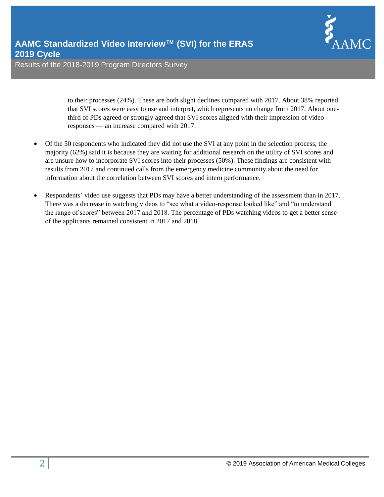to their processes (24%). These are both slight declines compared with 2017. About 38% reported that SVI scores were easy to use and interpret, which represents no change from 2017. About onethird of PDs agreed or strongly agreed that SVI scores aligned with their impression of video responses — an increase compared with 2017.

- Of the 50 respondents who indicated they did not use the SVI at any point in the selection process, the majority (62%) said it is because they are waiting for additional research on the utility of SVI scores and are unsure how to incorporate SVI scores into their processes (50%). These findings are consistent with results from 2017 and continued calls from the emergency medicine community about the need for information about the correlation between SVI scores and intern performance.
- Respondents' video use suggests that PDs may have a better understanding of the assessment than in 2017. There was a decrease in watching videos to "see what a video-response looked like" and "to understand the range of scores" between 2017 and 2018. The percentage of PDs watching videos to get a better sense of the applicants remained consistent in 2017 and 2018.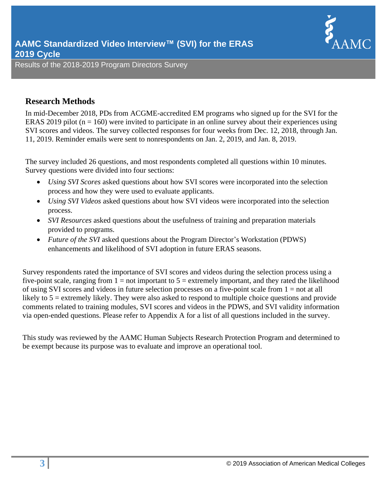

# **Research Methods**

In mid-December 2018, PDs from ACGME-accredited EM programs who signed up for the SVI for the ERAS 2019 pilot ( $n = 160$ ) were invited to participate in an online survey about their experiences using SVI scores and videos. The survey collected responses for four weeks from Dec. 12, 2018, through Jan. 11, 2019. Reminder emails were sent to nonrespondents on Jan. 2, 2019, and Jan. 8, 2019.

The survey included 26 questions, and most respondents completed all questions within 10 minutes. Survey questions were divided into four sections:

- *Using SVI Scores* asked questions about how SVI scores were incorporated into the selection process and how they were used to evaluate applicants.
- *Using SVI Videos* asked questions about how SVI videos were incorporated into the selection process.
- *SVI Resources* asked questions about the usefulness of training and preparation materials provided to programs.
- *Future of the SVI* asked questions about the Program Director's Workstation (PDWS) enhancements and likelihood of SVI adoption in future ERAS seasons.

Survey respondents rated the importance of SVI scores and videos during the selection process using a five-point scale, ranging from  $1 = not$  important to  $5 =$  extremely important, and they rated the likelihood of using SVI scores and videos in future selection processes on a five-point scale from  $1 = not$  at all likely to 5 = extremely likely. They were also asked to respond to multiple choice questions and provide comments related to training modules, SVI scores and videos in the PDWS, and SVI validity information via open-ended questions. Please refer to Appendix A for a list of all questions included in the survey.

This study was reviewed by the AAMC Human Subjects Research Protection Program and determined to be exempt because its purpose was to evaluate and improve an operational tool.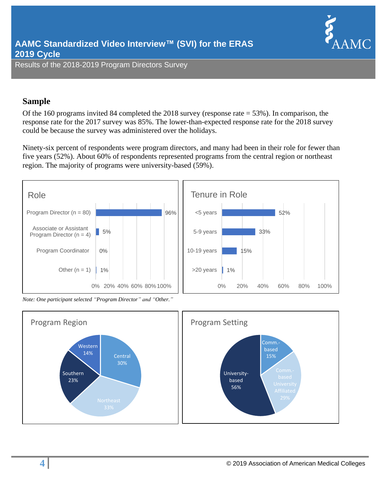

# **Sample**

Of the 160 programs invited 84 completed the 2018 survey (response rate = 53%). In comparison, the response rate for the 2017 survey was 85%. The lower-than-expected response rate for the 2018 survey could be because the survey was administered over the holidays.

Ninety-six percent of respondents were program directors, and many had been in their role for fewer than five years (52%). About 60% of respondents represented programs from the central region or northeast region. The majority of programs were university-based (59%).



*Note: One participant selected "Program Director" and "Other."*

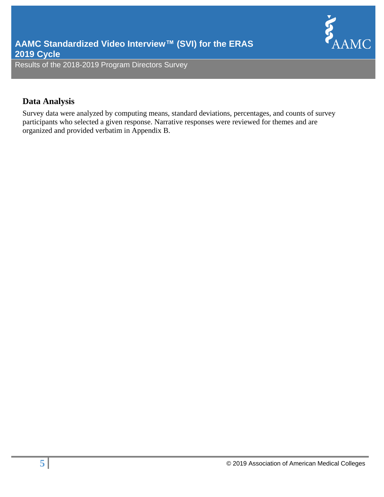

# **Data Analysis**

Survey data were analyzed by computing means, standard deviations, percentages, and counts of survey participants who selected a given response. Narrative responses were reviewed for themes and are organized and provided verbatim in Appendix B.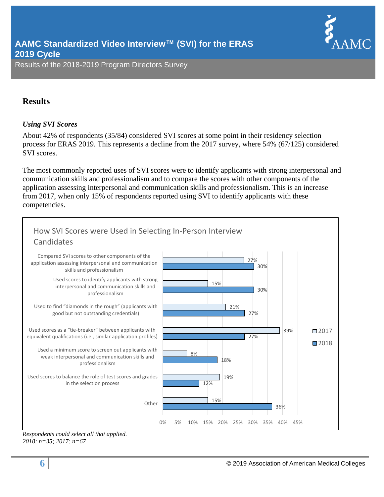

# **Results**

# *Using SVI Scores*

About 42% of respondents (35/84) considered SVI scores at some point in their residency selection process for ERAS 2019. This represents a decline from the 2017 survey, where 54% (67/125) considered SVI scores.

The most commonly reported uses of SVI scores were to identify applicants with strong interpersonal and communication skills and professionalism and to compare the scores with other components of the application assessing interpersonal and communication skills and professionalism. This is an increase from 2017, when only 15% of respondents reported using SVI to identify applicants with these competencies.



*Respondents could select all that applied. 2018: n=35; 2017: n=67*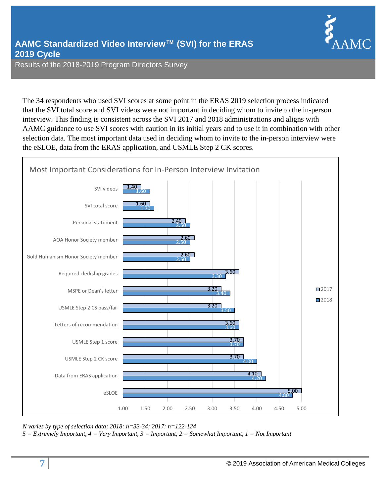The 34 respondents who used SVI scores at some point in the ERAS 2019 selection process indicated that the SVI total score and SVI videos were not important in deciding whom to invite to the in-person interview. This finding is consistent across the SVI 2017 and 2018 administrations and aligns with AAMC guidance to use SVI scores with caution in its initial years and to use it in combination with other selection data. The most important data used in deciding whom to invite to the in-person interview were the eSLOE, data from the ERAS application, and USMLE Step 2 CK scores.



*N varies by type of selection data; 2018: n=33-34; 2017: n=122-124*

*5 = Extremely Important, 4 = Very Important, 3 = Important, 2 = Somewhat Important, 1 = Not Important*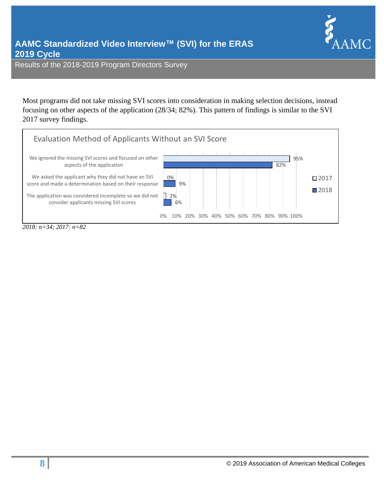

Most programs did not take missing SVI scores into consideration in making selection decisions, instead focusing on other aspects of the application (28/34; 82%). This pattern of findings is similar to the SVI 2017 survey findings.

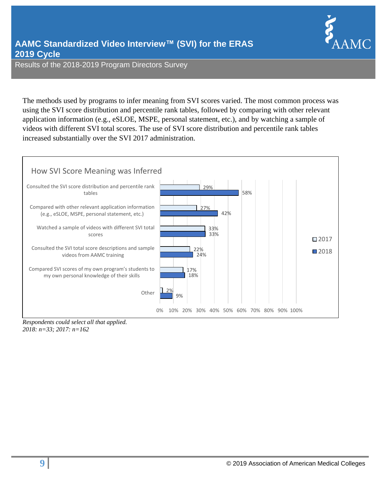

The methods used by programs to infer meaning from SVI scores varied. The most common process was using the SVI score distribution and percentile rank tables, followed by comparing with other relevant application information (e.g., eSLOE, MSPE, personal statement, etc.), and by watching a sample of videos with different SVI total scores. The use of SVI score distribution and percentile rank tables increased substantially over the SVI 2017 administration.



*Respondents could select all that applied. 2018: n=33; 2017: n=162*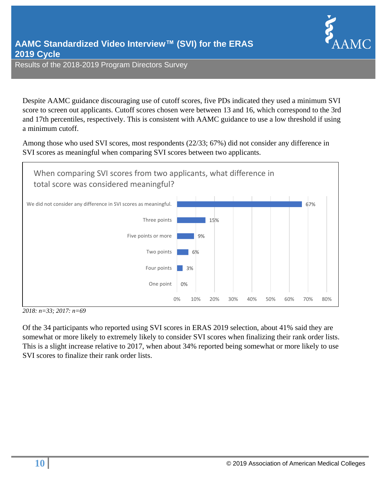

Despite AAMC guidance discouraging use of cutoff scores, five PDs indicated they used a minimum SVI score to screen out applicants. Cutoff scores chosen were between 13 and 16, which correspond to the 3rd and 17th percentiles, respectively. This is consistent with AAMC guidance to use a low threshold if using a minimum cutoff.

Among those who used SVI scores, most respondents (22/33; 67%) did not consider any difference in SVI scores as meaningful when comparing SVI scores between two applicants.



*2018: n=33; 2017: n=69*

Of the 34 participants who reported using SVI scores in ERAS 2019 selection, about 41% said they are somewhat or more likely to extremely likely to consider SVI scores when finalizing their rank order lists. This is a slight increase relative to 2017, when about 34% reported being somewhat or more likely to use SVI scores to finalize their rank order lists.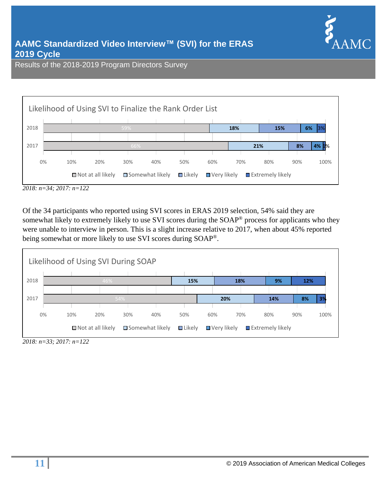



*<sup>2018:</sup> n=34; 2017: n=122*

Of the 34 participants who reported using SVI scores in ERAS 2019 selection, 54% said they are somewhat likely to extremely likely to use SVI scores during the SOAP® process for applicants who they were unable to interview in person. This is a slight increase relative to 2017, when about 45% reported being somewhat or more likely to use SVI scores during SOAP®.



*<sup>2018:</sup> n=33; 2017: n=122*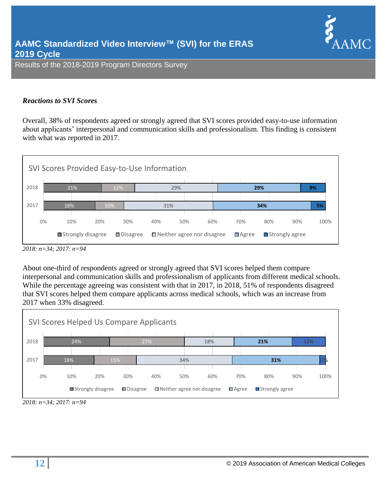# *Reactions to SVI Scores*

Overall, 38% of respondents agreed or strongly agreed that SVI scores provided easy-to-use information about applicants' interpersonal and communication skills and professionalism. This finding is consistent with what was reported in 2017.



*<sup>2018:</sup> n=34; 2017: n=94*

About one-third of respondents agreed or strongly agreed that SVI scores helped them compare interpersonal and communication skills and professionalism of applicants from different medical schools. While the percentage agreeing was consistent with that in 2017, in 2018, 51% of respondents disagreed that SVI scores helped them compare applicants across medical schools, which was an increase from 2017 when 33% disagreed.



*2018: n=34; 2017: n=94*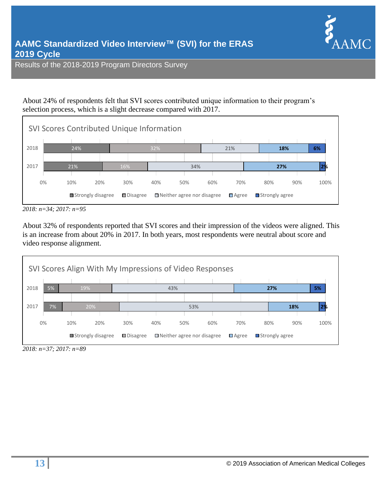

About 24% of respondents felt that SVI scores contributed unique information to their program's selection process, which is a slight decrease compared with 2017.



*<sup>2018:</sup> n=34; 2017: n=95*

About 32% of respondents reported that SVI scores and their impression of the videos were aligned. This is an increase from about 20% in 2017. In both years, most respondents were neutral about score and video response alignment.



*<sup>2018:</sup> n=37; 2017: n=89*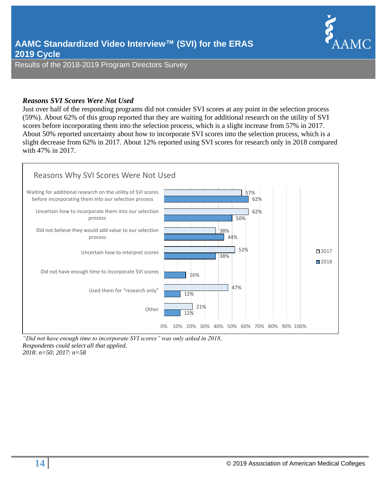

#### *Reasons SVI Scores Were Not Used*

Just over half of the responding programs did not consider SVI scores at any point in the selection process (59%). About 62% of this group reported that they are waiting for additional research on the utility of SVI scores before incorporating them into the selection process, which is a slight increase from 57% in 2017. About 50% reported uncertainty about how to incorporate SVI scores into the selection process, which is a slight decrease from 62% in 2017. About 12% reported using SVI scores for research only in 2018 compared with 47% in 2017.



*"Did not have enough time to incorporate SVI scores" was only asked in 2018. Respondents could select all that applied. 2018: n=50; 2017: n=58*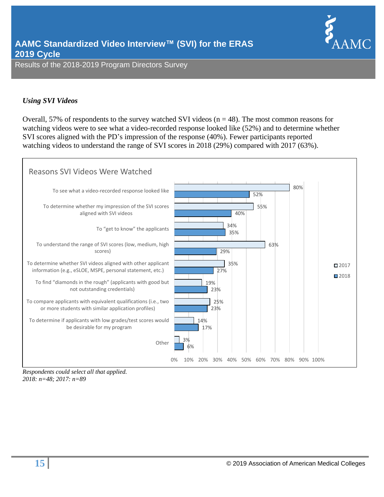

# *Using SVI Videos*

Overall, 57% of respondents to the survey watched SVI videos ( $n = 48$ ). The most common reasons for watching videos were to see what a video-recorded response looked like (52%) and to determine whether SVI scores aligned with the PD's impression of the response (40%). Fewer participants reported watching videos to understand the range of SVI scores in 2018 (29%) compared with 2017 (63%).



*Respondents could select all that applied. 2018: n=48; 2017: n=89*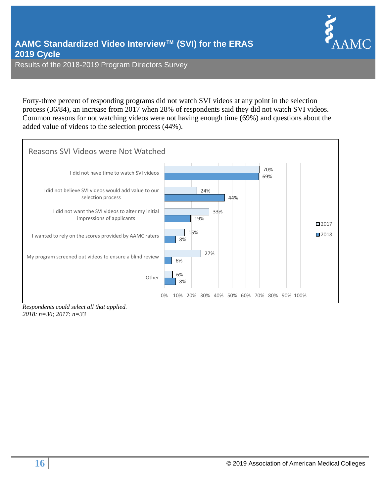

Forty-three percent of responding programs did not watch SVI videos at any point in the selection process (36/84), an increase from 2017 when 28% of respondents said they did not watch SVI videos. Common reasons for not watching videos were not having enough time (69%) and questions about the added value of videos to the selection process (44%).



*2018: n=36; 2017: n=33*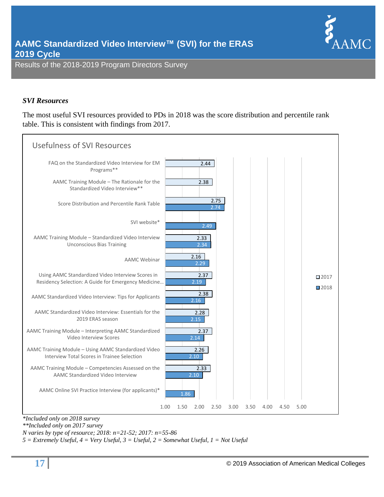

#### *SVI Resources*

The most useful SVI resources provided to PDs in 2018 was the score distribution and percentile rank table. This is consistent with findings from 2017.



*\*Included only on 2018 survey \*\*Included only on 2017 survey*

*N varies by type of resource; 2018: n=21-52; 2017: n=55-86*

*5 = Extremely Useful, 4 = Very Useful, 3 = Useful, 2 = Somewhat Useful, 1 = Not Useful*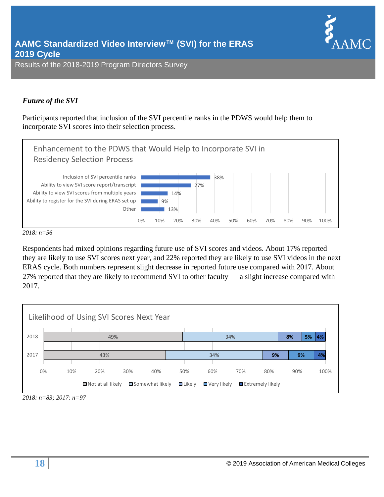

# *Future of the SVI*

Participants reported that inclusion of the SVI percentile ranks in the PDWS would help them to incorporate SVI scores into their selection process.



*2018: n=56*

Respondents had mixed opinions regarding future use of SVI scores and videos. About 17% reported they are likely to use SVI scores next year, and 22% reported they are likely to use SVI videos in the next ERAS cycle. Both numbers represent slight decrease in reported future use compared with 2017. About 27% reported that they are likely to recommend SVI to other faculty — a slight increase compared with 2017.



*<sup>2018:</sup> n=83; 2017: n=97*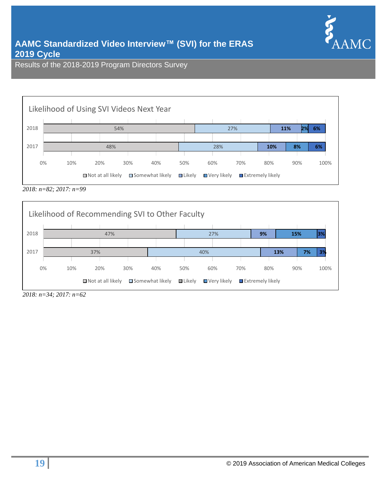



*2018: n=82; 2017: n=99*



*2018: n=34; 2017: n=62*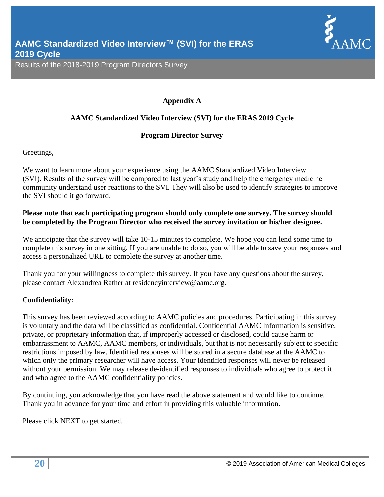

# **Appendix A**

# **AAMC Standardized Video Interview (SVI) for the ERAS 2019 Cycle**

# **Program Director Survey**

Greetings,

We want to learn more about your experience using the AAMC Standardized Video Interview (SVI). Results of the survey will be compared to last year's study and help the emergency medicine community understand user reactions to the SVI. They will also be used to identify strategies to improve the SVI should it go forward.

# **Please note that each participating program should only complete one survey. The survey should be completed by the Program Director who received the survey invitation or his/her designee.**

We anticipate that the survey will take 10-15 minutes to complete. We hope you can lend some time to complete this survey in one sitting. If you are unable to do so, you will be able to save your responses and access a personalized URL to complete the survey at another time.

Thank you for your willingness to complete this survey. If you have any questions about the survey, please contact Alexandrea Rather at [residencyinterview@aamc.org.](mailto:residencyinterview@aamc.org)

# **Confidentiality:**

This survey has been reviewed according to AAMC policies and procedures. Participating in this survey is voluntary and the data will be classified as confidential. Confidential AAMC Information is sensitive, private, or proprietary information that, if improperly accessed or disclosed, could cause harm or embarrassment to AAMC, AAMC members, or individuals, but that is not necessarily subject to specific restrictions imposed by law. Identified responses will be stored in a secure database at the AAMC to which only the primary researcher will have access. Your identified responses will never be released without your permission. We may release de-identified responses to individuals who agree to protect it and who agree to the AAMC confidentiality policies.

By continuing, you acknowledge that you have read the above statement and would like to continue. Thank you in advance for your time and effort in providing this valuable information.

Please click NEXT to get started.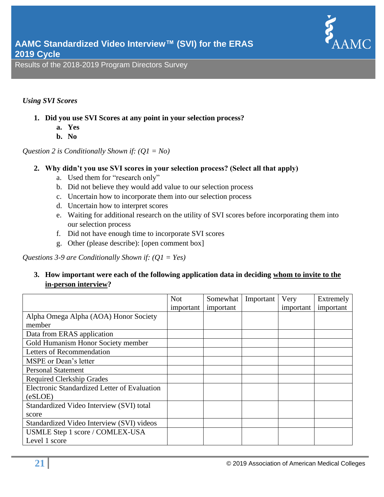

# *Using SVI Scores*

- **1. Did you use SVI Scores at any point in your selection process?**
	- **a. Yes**
	- **b. No**

*Question 2 is Conditionally Shown if: (Q1 = No)*

# **2. Why didn't you use SVI scores in your selection process? (Select all that apply)**

- a. Used them for "research only"
- b. Did not believe they would add value to our selection process
- c. Uncertain how to incorporate them into our selection process
- d. Uncertain how to interpret scores
- e. Waiting for additional research on the utility of SVI scores before incorporating them into our selection process
- f. Did not have enough time to incorporate SVI scores
- g. Other (please describe): [open comment box]

*Questions 3-9 are Conditionally Shown if: (Q1 = Yes)*

# **3. How important were each of the following application data in deciding whom to invite to the in-person interview?**

|                                              | <b>Not</b> | Somewhat  | Important | Very      | Extremely |
|----------------------------------------------|------------|-----------|-----------|-----------|-----------|
|                                              | important  | important |           | important | important |
| Alpha Omega Alpha (AOA) Honor Society        |            |           |           |           |           |
| member                                       |            |           |           |           |           |
| Data from ERAS application                   |            |           |           |           |           |
| Gold Humanism Honor Society member           |            |           |           |           |           |
| Letters of Recommendation                    |            |           |           |           |           |
| MSPE or Dean's letter                        |            |           |           |           |           |
| <b>Personal Statement</b>                    |            |           |           |           |           |
| <b>Required Clerkship Grades</b>             |            |           |           |           |           |
| Electronic Standardized Letter of Evaluation |            |           |           |           |           |
| (eSLOE)                                      |            |           |           |           |           |
| Standardized Video Interview (SVI) total     |            |           |           |           |           |
| score                                        |            |           |           |           |           |
| Standardized Video Interview (SVI) videos    |            |           |           |           |           |
| USMLE Step 1 score / COMLEX-USA              |            |           |           |           |           |
| Level 1 score                                |            |           |           |           |           |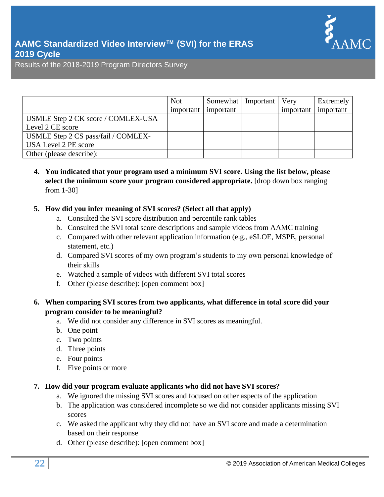

|                                     | <b>Not</b> | Somewhat  | Important | Very      | Extremely |
|-------------------------------------|------------|-----------|-----------|-----------|-----------|
|                                     | important  | important |           | important | important |
| USMLE Step 2 CK score / COMLEX-USA  |            |           |           |           |           |
| Level 2 CE score                    |            |           |           |           |           |
| USMLE Step 2 CS pass/fail / COMLEX- |            |           |           |           |           |
| USA Level 2 PE score                |            |           |           |           |           |
| Other (please describe):            |            |           |           |           |           |

**4. You indicated that your program used a minimum SVI score. Using the list below, please select the minimum score your program considered appropriate.** [drop down box ranging from 1-30]

# **5. How did you infer meaning of SVI scores? (Select all that apply)**

- a. Consulted the SVI score distribution and percentile rank tables
- b. Consulted the SVI total score descriptions and sample videos from AAMC training
- c. Compared with other relevant application information (e.g., eSLOE, MSPE, personal statement, etc.)
- d. Compared SVI scores of my own program's students to my own personal knowledge of their skills
- e. Watched a sample of videos with different SVI total scores
- f. Other (please describe): [open comment box]

# **6. When comparing SVI scores from two applicants, what difference in total score did your program consider to be meaningful?**

- a. We did not consider any difference in SVI scores as meaningful.
- b. One point
- c. Two points
- d. Three points
- e. Four points
- f. Five points or more

#### **7. How did your program evaluate applicants who did not have SVI scores?**

- a. We ignored the missing SVI scores and focused on other aspects of the application
- b. The application was considered incomplete so we did not consider applicants missing SVI scores
- c. We asked the applicant why they did not have an SVI score and made a determination based on their response
- d. Other (please describe): [open comment box]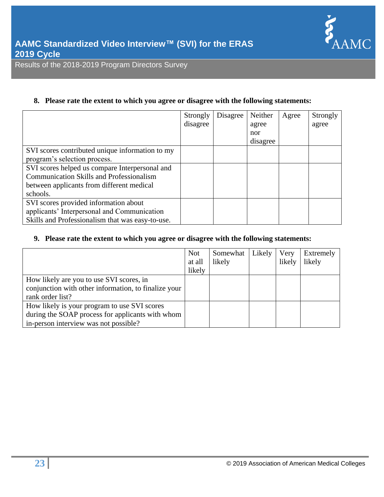

# **8. Please rate the extent to which you agree or disagree with the following statements:**

|                                                  | Strongly | Disagree | Neither  | Agree | Strongly |
|--------------------------------------------------|----------|----------|----------|-------|----------|
|                                                  | disagree |          | agree    |       | agree    |
|                                                  |          |          | nor      |       |          |
|                                                  |          |          | disagree |       |          |
| SVI scores contributed unique information to my  |          |          |          |       |          |
| program's selection process.                     |          |          |          |       |          |
| SVI scores helped us compare Interpersonal and   |          |          |          |       |          |
| <b>Communication Skills and Professionalism</b>  |          |          |          |       |          |
| between applicants from different medical        |          |          |          |       |          |
| schools.                                         |          |          |          |       |          |
| SVI scores provided information about            |          |          |          |       |          |
| applicants' Interpersonal and Communication      |          |          |          |       |          |
| Skills and Professionalism that was easy-to-use. |          |          |          |       |          |

# **9. Please rate the extent to which you agree or disagree with the following statements:**

|                                                      | <b>Not</b> | Somewhat | Likely | Very   | Extremely |
|------------------------------------------------------|------------|----------|--------|--------|-----------|
|                                                      | at all     | likely   |        | likely | likely    |
|                                                      | likely     |          |        |        |           |
| How likely are you to use SVI scores, in             |            |          |        |        |           |
| conjunction with other information, to finalize your |            |          |        |        |           |
| rank order list?                                     |            |          |        |        |           |
| How likely is your program to use SVI scores         |            |          |        |        |           |
| during the SOAP process for applicants with whom     |            |          |        |        |           |
| in-person interview was not possible?                |            |          |        |        |           |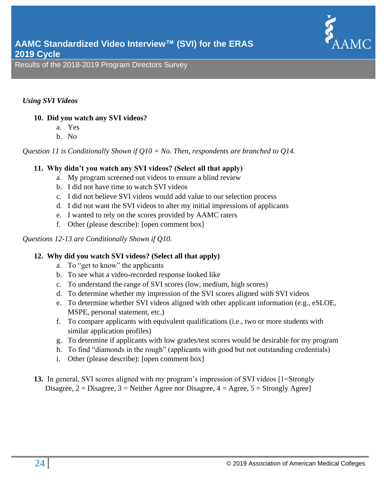

# *Using SVI Videos*

# **10. Did you watch any SVI videos?**

- a. Yes
- b. No

*Question 11 is Conditionally Shown if Q10 = No. Then, respondents are branched to Q14.*

# **11. Why didn't you watch any SVI videos? (Select all that apply)**

- a. My program screened out videos to ensure a blind review
- b. I did not have time to watch SVI videos
- c. I did not believe SVI videos would add value to our selection process
- d. I did not want the SVI videos to alter my initial impressions of applicants
- e. I wanted to rely on the scores provided by AAMC raters
- f. Other (please describe): [open comment box]

# *Questions 12-13 are Conditionally Shown if Q10.*

# **12. Why did you watch SVI videos? (Select all that apply)**

- a. To "get to know" the applicants
- b. To see what a video-recorded response looked like
- c. To understand the range of SVI scores (low, medium, high scores)
- d. To determine whether my impression of the SVI scores aligned with SVI videos
- e. To determine whether SVI videos aligned with other applicant information (e.g., eSLOE, MSPE, personal statement, etc.)
- f. To compare applicants with equivalent qualifications (i.e., two or more students with similar application profiles)
- g. To determine if applicants with low grades/test scores would be desirable for my program
- h. To find "diamonds in the rough" (applicants with good but not outstanding credentials)
- i. Other (please describe): [open comment box]
- **13.** In general, SVI scores aligned with my program's impression of SVI videos [1=Strongly Disagree,  $2 = Disagree$ ,  $3 = Neither$  Agree nor Disagree,  $4 = Age$ e,  $5 = Strongly$  Agree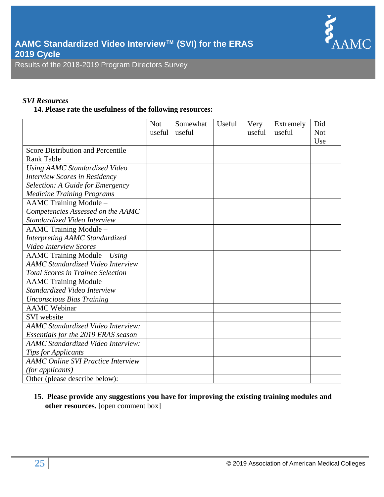

# *SVI Resources*

# **14. Please rate the usefulness of the following resources:**

|                                           | <b>Not</b> | Somewhat | Useful | Very   | Extremely | Did        |
|-------------------------------------------|------------|----------|--------|--------|-----------|------------|
|                                           | useful     | useful   |        | useful | useful    | <b>Not</b> |
|                                           |            |          |        |        |           | Use        |
| <b>Score Distribution and Percentile</b>  |            |          |        |        |           |            |
| <b>Rank Table</b>                         |            |          |        |        |           |            |
| <b>Using AAMC Standardized Video</b>      |            |          |        |        |           |            |
| <b>Interview Scores in Residency</b>      |            |          |        |        |           |            |
| Selection: A Guide for Emergency          |            |          |        |        |           |            |
| <b>Medicine Training Programs</b>         |            |          |        |        |           |            |
| AAMC Training Module -                    |            |          |        |        |           |            |
| Competencies Assessed on the AAMC         |            |          |        |        |           |            |
| Standardized Video Interview              |            |          |        |        |           |            |
| <b>AAMC Training Module -</b>             |            |          |        |        |           |            |
| <b>Interpreting AAMC Standardized</b>     |            |          |        |        |           |            |
| <b>Video Interview Scores</b>             |            |          |        |        |           |            |
| $AAMC$ Training Module – Using            |            |          |        |        |           |            |
| <b>AAMC</b> Standardized Video Interview  |            |          |        |        |           |            |
| <b>Total Scores in Trainee Selection</b>  |            |          |        |        |           |            |
| AAMC Training Module -                    |            |          |        |        |           |            |
| Standardized Video Interview              |            |          |        |        |           |            |
| <b>Unconscious Bias Training</b>          |            |          |        |        |           |            |
| <b>AAMC</b> Webinar                       |            |          |        |        |           |            |
| <b>SVI</b> website                        |            |          |        |        |           |            |
| <b>AAMC</b> Standardized Video Interview: |            |          |        |        |           |            |
| Essentials for the 2019 ERAS season       |            |          |        |        |           |            |
| <b>AAMC</b> Standardized Video Interview: |            |          |        |        |           |            |
| <b>Tips for Applicants</b>                |            |          |        |        |           |            |
| <b>AAMC Online SVI Practice Interview</b> |            |          |        |        |           |            |
| (for applicants)                          |            |          |        |        |           |            |
| Other (please describe below):            |            |          |        |        |           |            |

**15. Please provide any suggestions you have for improving the existing training modules and other resources.** [open comment box]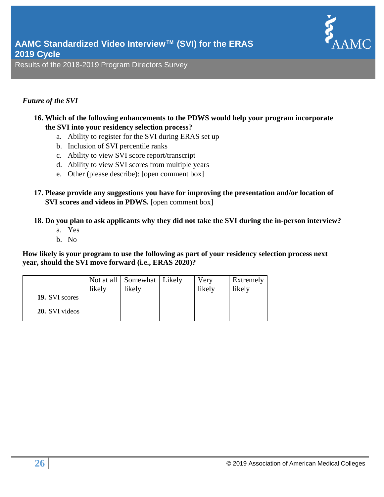

# *Future of the SVI*

- **16. Which of the following enhancements to the PDWS would help your program incorporate the SVI into your residency selection process?**
	- a. Ability to register for the SVI during ERAS set up
	- b. Inclusion of SVI percentile ranks
	- c. Ability to view SVI score report/transcript
	- d. Ability to view SVI scores from multiple years
	- e. Other (please describe): [open comment box]
- **17. Please provide any suggestions you have for improving the presentation and/or location of SVI scores and videos in PDWS.** [open comment box]

# **18. Do you plan to ask applicants why they did not take the SVI during the in-person interview?**

- a. Yes
- b. No

**How likely is your program to use the following as part of your residency selection process next year, should the SVI move forward (i.e., ERAS 2020)?**

|                       | likely | Not at all   Somewhat   Likely<br>likely | Very<br>likely | Extremely<br>likely |
|-----------------------|--------|------------------------------------------|----------------|---------------------|
| 19. SVI scores        |        |                                          |                |                     |
| <b>20.</b> SVI videos |        |                                          |                |                     |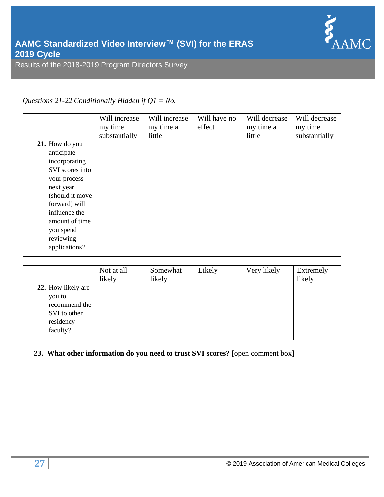

# *Questions 21-22 Conditionally Hidden if Q1 = No.*

|                 | Will increase | Will increase | Will have no | Will decrease | Will decrease |
|-----------------|---------------|---------------|--------------|---------------|---------------|
|                 | my time       | my time a     | effect       | my time a     | my time       |
|                 | substantially | little        |              | little        | substantially |
| 21. How do you  |               |               |              |               |               |
| anticipate      |               |               |              |               |               |
| incorporating   |               |               |              |               |               |
| SVI scores into |               |               |              |               |               |
| your process    |               |               |              |               |               |
| next year       |               |               |              |               |               |
| (should it move |               |               |              |               |               |
| forward) will   |               |               |              |               |               |
| influence the   |               |               |              |               |               |
| amount of time  |               |               |              |               |               |
| you spend       |               |               |              |               |               |
| reviewing       |               |               |              |               |               |
| applications?   |               |               |              |               |               |
|                 |               |               |              |               |               |

|                                                                  | Not at all<br>likely | Somewhat<br>likely | Likely | Very likely | Extremely<br>likely |
|------------------------------------------------------------------|----------------------|--------------------|--------|-------------|---------------------|
| 22. How likely are                                               |                      |                    |        |             |                     |
| you to<br>recommend the<br>SVI to other<br>residency<br>faculty? |                      |                    |        |             |                     |

# **23. What other information do you need to trust SVI scores?** [open comment box]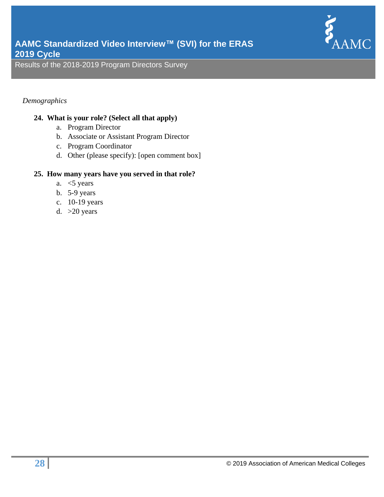

# *Demographics*

# **24. What is your role? (Select all that apply)**

- a. Program Director
- b. Associate or Assistant Program Director
- c. Program Coordinator
- d. Other (please specify): [open comment box]

# **25. How many years have you served in that role?**

- a.  $<$  5 years
- b. 5-9 years
- c. 10-19 years
- d.  $>20$  years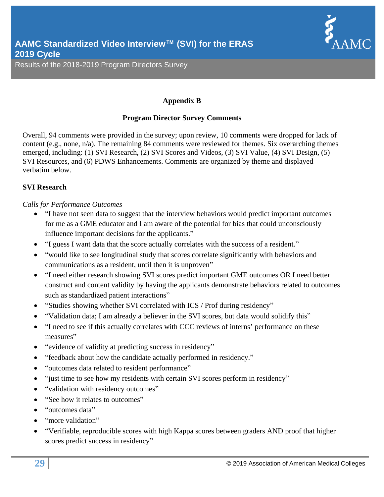

# **Appendix B**

# **Program Director Survey Comments**

Overall, 94 comments were provided in the survey; upon review, 10 comments were dropped for lack of content (e.g., none, n/a). The remaining 84 comments were reviewed for themes. Six overarching themes emerged, including: (1) SVI Research, (2) SVI Scores and Videos, (3) SVI Value, (4) SVI Design, (5) SVI Resources, and (6) PDWS Enhancements. Comments are organized by theme and displayed verbatim below.

# **SVI Research**

# *Calls for Performance Outcomes*

- "I have not seen data to suggest that the interview behaviors would predict important outcomes for me as a GME educator and I am aware of the potential for bias that could unconsciously influence important decisions for the applicants."
- "I guess I want data that the score actually correlates with the success of a resident."
- "would like to see longitudinal study that scores correlate significantly with behaviors and communications as a resident, until then it is unproven"
- "I need either research showing SVI scores predict important GME outcomes OR I need better construct and content validity by having the applicants demonstrate behaviors related to outcomes such as standardized patient interactions"
- "Studies showing whether SVI correlated with ICS / Prof during residency"
- "Validation data; I am already a believer in the SVI scores, but data would solidify this"
- "I need to see if this actually correlates with CCC reviews of interns' performance on these measures"
- "evidence of validity at predicting success in residency"
- "feedback about how the candidate actually performed in residency."
- "outcomes data related to resident performance"
- "just time to see how my residents with certain SVI scores perform in residency"
- "validation with residency outcomes"
- "See how it relates to outcomes"
- "outcomes data"
- "more validation"
- "Verifiable, reproducible scores with high Kappa scores between graders AND proof that higher scores predict success in residency"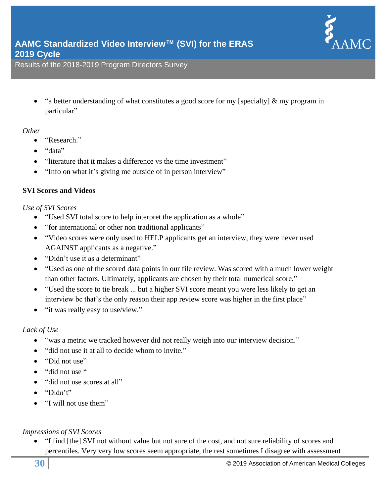

• "a better understanding of what constitutes a good score for my [specialty] & my program in particular"

# *Other*

- "Research."
- "data"
- "literature that it makes a difference vs the time investment"
- "Info on what it's giving me outside of in person interview"

#### **SVI Scores and Videos**

#### *Use of SVI Scores*

- "Used SVI total score to help interpret the application as a whole"
- "for international or other non traditional applicants"
- "Video scores were only used to HELP applicants get an interview, they were never used AGAINST applicants as a negative."
- "Didn't use it as a determinant"
- "Used as one of the scored data points in our file review. Was scored with a much lower weight than other factors. Ultimately, applicants are chosen by their total numerical score."
- "Used the score to tie break ... but a higher SVI score meant you were less likely to get an interview bc that's the only reason their app review score was higher in the first place"
- "it was really easy to use/view."

# *Lack of Use*

- "was a metric we tracked however did not really weigh into our interview decision."
- "did not use it at all to decide whom to invite."
- "Did not use"
- "did not use "
- "did not use scores at all"
- "Didn't"
- "I will not use them"

# *Impressions of SVI Scores*

• "I find [the] SVI not without value but not sure of the cost, and not sure reliability of scores and percentiles. Very very low scores seem appropriate, the rest sometimes I disagree with assessment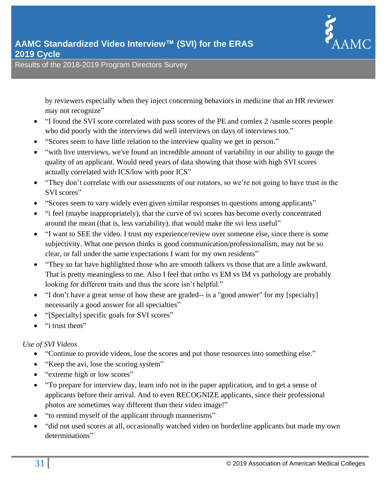

**2019 Cycle**

by reviewers especially when they inject concerning behaviors in medicine that an HR reviewer may not recognize"

- "I found the SVI score correlated with pass scores of the PE and comlex 2 /usmle scores people who did poorly with the interviews did well interviews on days of interviews too."
- "Scores seem to have little relation to the interview quality we get in person."
- "with live interviews, we've found an incredible amount of variability in our ability to gauge the quality of an applicant. Would need years of data showing that those with high SVI scores actually correlated with ICS/low with poor ICS"
- "They don't correlate with our assessments of our rotators, so we're not going to have trust in the SVI scores"
- "Scores seem to vary widely even given similar responses to questions among applicants"
- "i feel (maybe inappropriately), that the curve of svi scores has become overly concentrated around the mean (that is, less variability). that would make the svi less useful"
- "I want to SEE the video. I trust my experience/review over someone else, since there is some subjectivity. What one person thinks is good communication/professionalism, may not be so clear, or fall under the same expectations I want for my own residents"
- "They so far have highlighted those who are smooth talkers vs those that are a little awkward. That is pretty meaningless to me. Also I feel that ortho vs EM vs IM vs pathology are probably looking for different traits and thus the score isn't helpful."
- "I don't have a great sense of how these are graded-- is a "good answer" for my [specialty] necessarily a good answer for all specialties"
- "[Specialty] specific goals for SVI scores"
- "i trust them"

# *Use of SVI Videos*

- "Continue to provide videos, lose the scores and put those resources into something else."
- "Keep the avi, lose the scoring system"
- "extreme high or low scores"
- "To prepare for interview day, learn info not in the paper application, and to get a sense of applicants before their arrival. And to even RECOGNIZE applicants, since their professional photos are sometimes way different than their video image!"
- "to remind myself of the applicant through mannerisms"
- "did not used scores at all, occasionally watched video on borderline applicants but made my own determinations"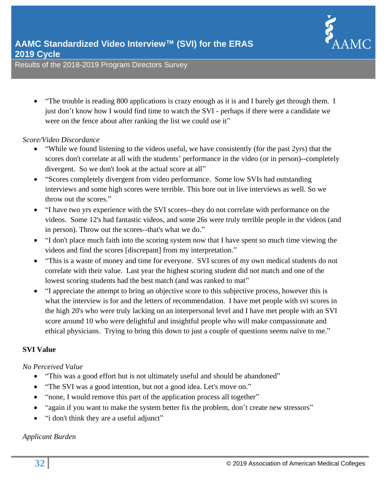

• "The trouble is reading 800 applications is crazy enough as it is and I barely get through them. I just don't know how I would find time to watch the SVI - perhaps if there were a candidate we were on the fence about after ranking the list we could use it"

#### *Score/Video Discordance*

- "While we found listening to the videos useful, we have consistently (for the past 2yrs) that the scores don't correlate at all with the students' performance in the video (or in person)--completely divergent. So we don't look at the actual score at all"
- "Scores completely divergent from video performance. Some low SVIs had outstanding interviews and some high scores were terrible. This bore out in live interviews as well. So we throw out the scores."
- "I have two yrs experience with the SVI scores--they do not correlate with performance on the videos. Some 12's had fantastic videos, and some 26s were truly terrible people in the videos (and in person). Throw out the scores--that's what we do."
- "I don't place much faith into the scoring system now that I have spent so much time viewing the videos and find the scores [discrepant] from my interpretation."
- "This is a waste of money and time for everyone. SVI scores of my own medical students do not correlate with their value. Last year the highest scoring student did not match and one of the lowest scoring students had the best match (and was ranked to mat"
- "I appreciate the attempt to bring an objective score to this subjective process, however this is what the interview is for and the letters of recommendation. I have met people with svi scores in the high 20's who were truly lacking on an interpersonal level and I have met people with an SVI score around 10 who were delightful and insightful people who will make compassionate and ethical physicians. Trying to bring this down to just a couple of questions seems naïve to me."

# **SVI Value**

#### *No Perceived Value*

- "This was a good effort but is not ultimately useful and should be abandoned"
- "The SVI was a good intention, but not a good idea. Let's move on."
- "none, I would remove this part of the application process all together"
- "again if you want to make the system better fix the problem, don't create new stressors"
- "i don't think they are a useful adjunct"

# *Applicant Burden*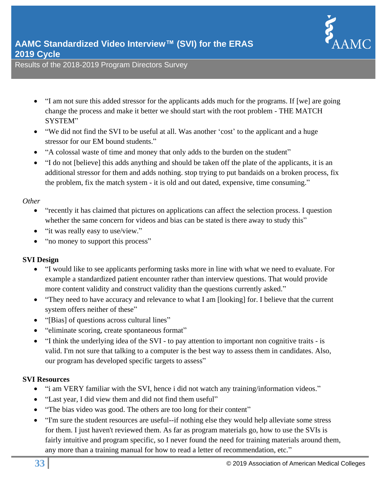

- "I am not sure this added stressor for the applicants adds much for the programs. If [we] are going change the process and make it better we should start with the root problem - THE MATCH SYSTEM"
- "We did not find the SVI to be useful at all. Was another 'cost' to the applicant and a huge stressor for our EM bound students."
- "A colossal waste of time and money that only adds to the burden on the student"
- "I do not [believe] this adds anything and should be taken off the plate of the applicants, it is an additional stressor for them and adds nothing. stop trying to put bandaids on a broken process, fix the problem, fix the match system - it is old and out dated, expensive, time consuming."

# *Other*

- "recently it has claimed that pictures on applications can affect the selection process. I question whether the same concern for videos and bias can be stated is there away to study this"
- "it was really easy to use/view."
- "no money to support this process"

# **SVI Design**

- "I would like to see applicants performing tasks more in line with what we need to evaluate. For example a standardized patient encounter rather than interview questions. That would provide more content validity and construct validity than the questions currently asked."
- "They need to have accuracy and relevance to what I am [looking] for. I believe that the current system offers neither of these"
- "[Bias] of questions across cultural lines"
- "eliminate scoring, create spontaneous format"
- "I think the underlying idea of the SVI to pay attention to important non cognitive traits is valid. I'm not sure that talking to a computer is the best way to assess them in candidates. Also, our program has developed specific targets to assess"

# **SVI Resources**

- "i am VERY familiar with the SVI, hence i did not watch any training/information videos."
- "Last year, I did view them and did not find them useful"
- "The bias video was good. The others are too long for their content"
- "I'm sure the student resources are useful--if nothing else they would help alleviate some stress for them. I just haven't reviewed them. As far as program materials go, how to use the SVIs is fairly intuitive and program specific, so I never found the need for training materials around them, any more than a training manual for how to read a letter of recommendation, etc."